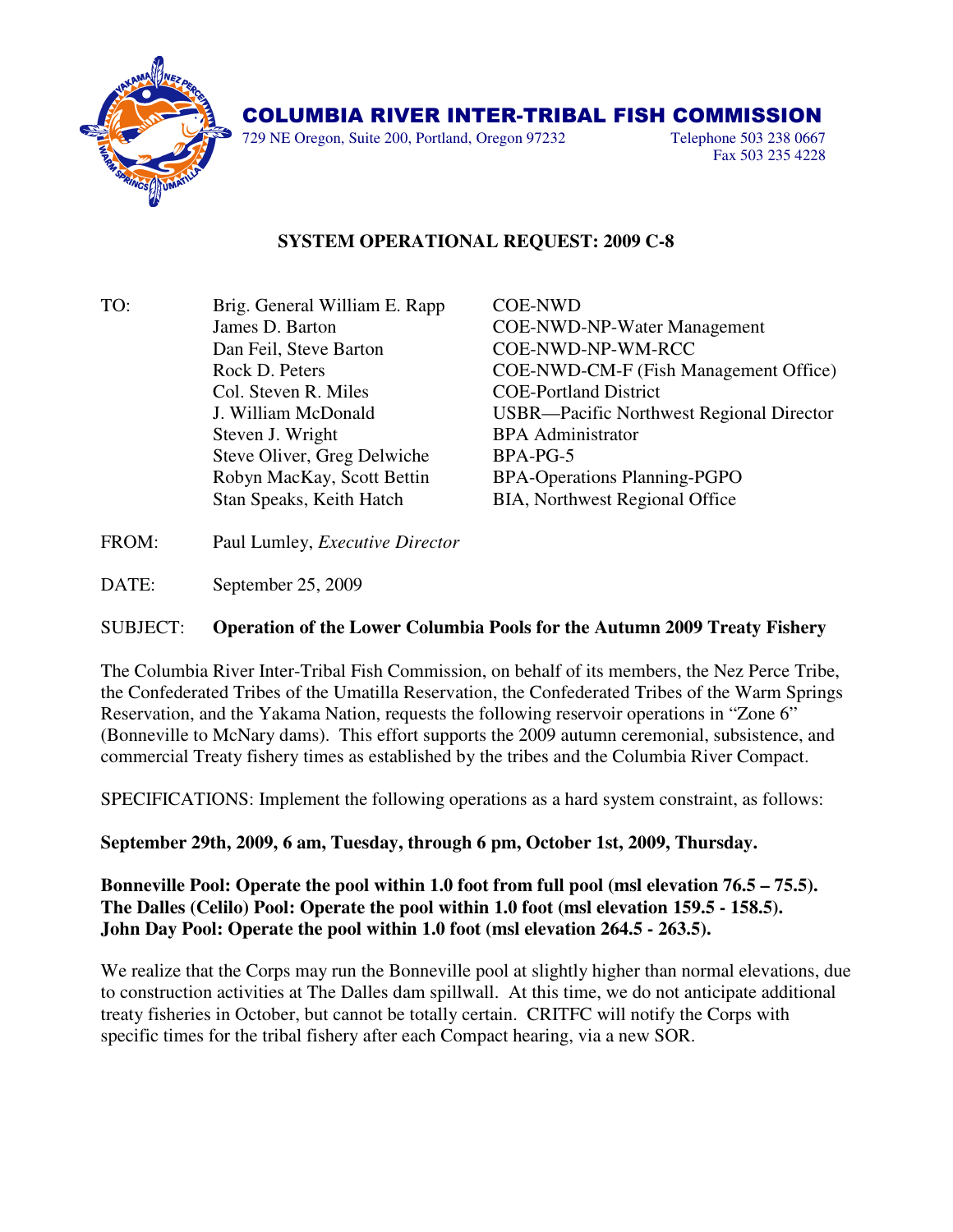

## COLUMBIA RIVER INTER-TRIBAL FISH COMMISSION

729 NE Oregon, Suite 200, Portland, Oregon 97232 Telephone 503 238 0667

Fax 503 235 4228

## **SYSTEM OPERATIONAL REQUEST: 2009 C-8**

TO: Brig. General William E. Rapp COE-NWD Dan Feil, Steve Barton COE-NWD-NP-WM-RCC Col. Steven R. Miles COE-Portland District Steven J. Wright BPA Administrator Steve Oliver, Greg Delwiche BPA-PG-5

 James D. Barton COE-NWD-NP-Water Management Rock D. Peters COE-NWD-CM-F (Fish Management Office) J. William McDonald USBR—Pacific Northwest Regional Director Robyn MacKay, Scott Bettin BPA-Operations Planning-PGPO Stan Speaks, Keith Hatch BIA, Northwest Regional Office

FROM: Paul Lumley, *Executive Director*

DATE: September 25, 2009

## SUBJECT: **Operation of the Lower Columbia Pools for the Autumn 2009 Treaty Fishery**

The Columbia River Inter-Tribal Fish Commission, on behalf of its members, the Nez Perce Tribe, the Confederated Tribes of the Umatilla Reservation, the Confederated Tribes of the Warm Springs Reservation, and the Yakama Nation, requests the following reservoir operations in "Zone 6" (Bonneville to McNary dams). This effort supports the 2009 autumn ceremonial, subsistence, and commercial Treaty fishery times as established by the tribes and the Columbia River Compact.

SPECIFICATIONS: Implement the following operations as a hard system constraint, as follows:

**September 29th, 2009, 6 am, Tuesday, through 6 pm, October 1st, 2009, Thursday.** 

**Bonneville Pool: Operate the pool within 1.0 foot from full pool (msl elevation 76.5 – 75.5). The Dalles (Celilo) Pool: Operate the pool within 1.0 foot (msl elevation 159.5 - 158.5). John Day Pool: Operate the pool within 1.0 foot (msl elevation 264.5 - 263.5).**

We realize that the Corps may run the Bonneville pool at slightly higher than normal elevations, due to construction activities at The Dalles dam spillwall. At this time, we do not anticipate additional treaty fisheries in October, but cannot be totally certain. CRITFC will notify the Corps with specific times for the tribal fishery after each Compact hearing, via a new SOR.